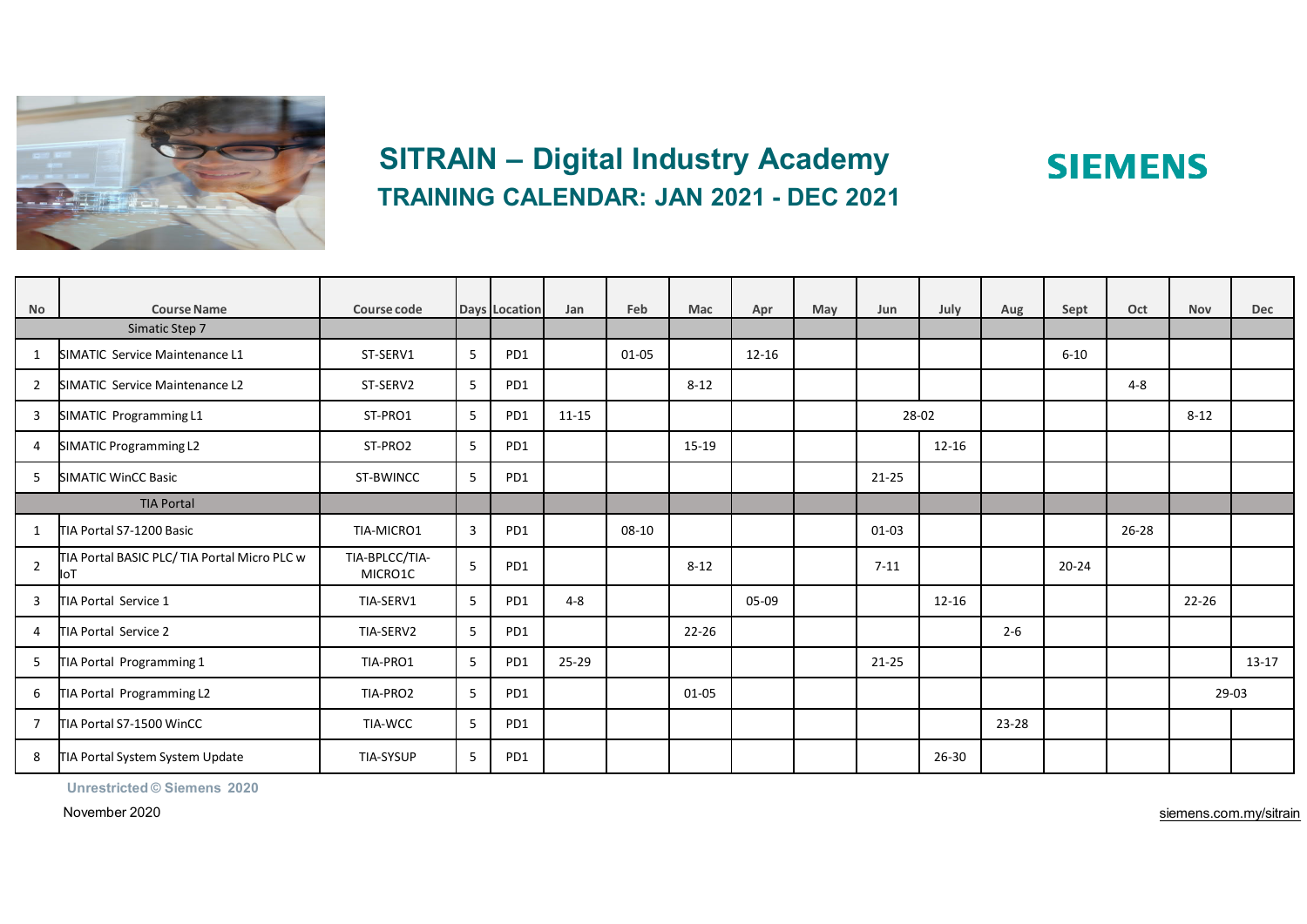

# **SITRAIN – Digital Industry Academy TRAINING CALENDAR: JAN 2021 - DEC 2021**

|                      | <b>Course Name</b>                                  | Course code               |   |                 |           | Feb       | Mac       |           | May |           |           |           |           | Oct       | <b>Nov</b> | <b>Dec</b> |
|----------------------|-----------------------------------------------------|---------------------------|---|-----------------|-----------|-----------|-----------|-----------|-----|-----------|-----------|-----------|-----------|-----------|------------|------------|
| No<br>Simatic Step 7 |                                                     |                           |   | Days Location   | Jan       |           |           | Apr       |     | Jun       | July      | Aug       | Sept      |           |            |            |
| 1                    | SIMATIC Service Maintenance L1                      | ST-SERV1                  | 5 | PD <sub>1</sub> |           | $01 - 05$ |           | $12 - 16$ |     |           |           |           | $6 - 10$  |           |            |            |
| $\overline{2}$       | SIMATIC Service Maintenance L2                      | ST-SERV2                  | 5 | PD1             |           |           | $8 - 12$  |           |     |           |           |           |           | $4 - 8$   |            |            |
| 3                    | SIMATIC Programming L1                              | ST-PRO1                   | 5 | PD1             | $11 - 15$ |           |           |           |     |           | 28-02     |           |           |           | $8 - 12$   |            |
| 4                    | SIMATIC Programming L2                              | ST-PRO2                   | 5 | PD1             |           |           | 15-19     |           |     |           | $12 - 16$ |           |           |           |            |            |
| 5                    | SIMATIC WinCC Basic                                 | ST-BWINCC                 | 5 | PD1             |           |           |           |           |     | $21 - 25$ |           |           |           |           |            |            |
| <b>TIA Portal</b>    |                                                     |                           |   |                 |           |           |           |           |     |           |           |           |           |           |            |            |
| 1                    | TIA Portal S7-1200 Basic                            | TIA-MICRO1                | 3 | PD1             |           | $08 - 10$ |           |           |     | $01 - 03$ |           |           |           | $26 - 28$ |            |            |
| $\overline{2}$       | TIA Portal BASIC PLC/ TIA Portal Micro PLC w<br>loT | TIA-BPLCC/TIA-<br>MICRO1C | 5 | PD1             |           |           | $8 - 12$  |           |     | $7-11$    |           |           | $20 - 24$ |           |            |            |
| 3                    | TIA Portal Service 1                                | TIA-SERV1                 | 5 | PD1             | $4 - 8$   |           |           | 05-09     |     |           | $12 - 16$ |           |           |           | 22-26      |            |
| 4                    | TIA Portal Service 2                                | TIA-SERV2                 | 5 | PD1             |           |           | $22 - 26$ |           |     |           |           | $2 - 6$   |           |           |            |            |
| 5                    | TIA Portal Programming 1                            | TIA-PRO1                  | 5 | PD1             | 25-29     |           |           |           |     | $21 - 25$ |           |           |           |           |            | $13 - 17$  |
| 6                    | TIA Portal Programming L2                           | TIA-PRO2                  | 5 | PD1             |           |           | 01-05     |           |     |           |           |           |           |           | 29-03      |            |
| 7                    | TIA Portal S7-1500 WinCC                            | TIA-WCC                   | 5 | PD1             |           |           |           |           |     |           |           | $23 - 28$ |           |           |            |            |
| 8                    | TIA Portal System System Update                     | <b>TIA-SYSUP</b>          | 5 | PD <sub>1</sub> |           |           |           |           |     |           | $26 - 30$ |           |           |           |            |            |

**Unrestricted © Siemens 2020**

November 2020

siemens.com.my/sitrain

**SIEMENS**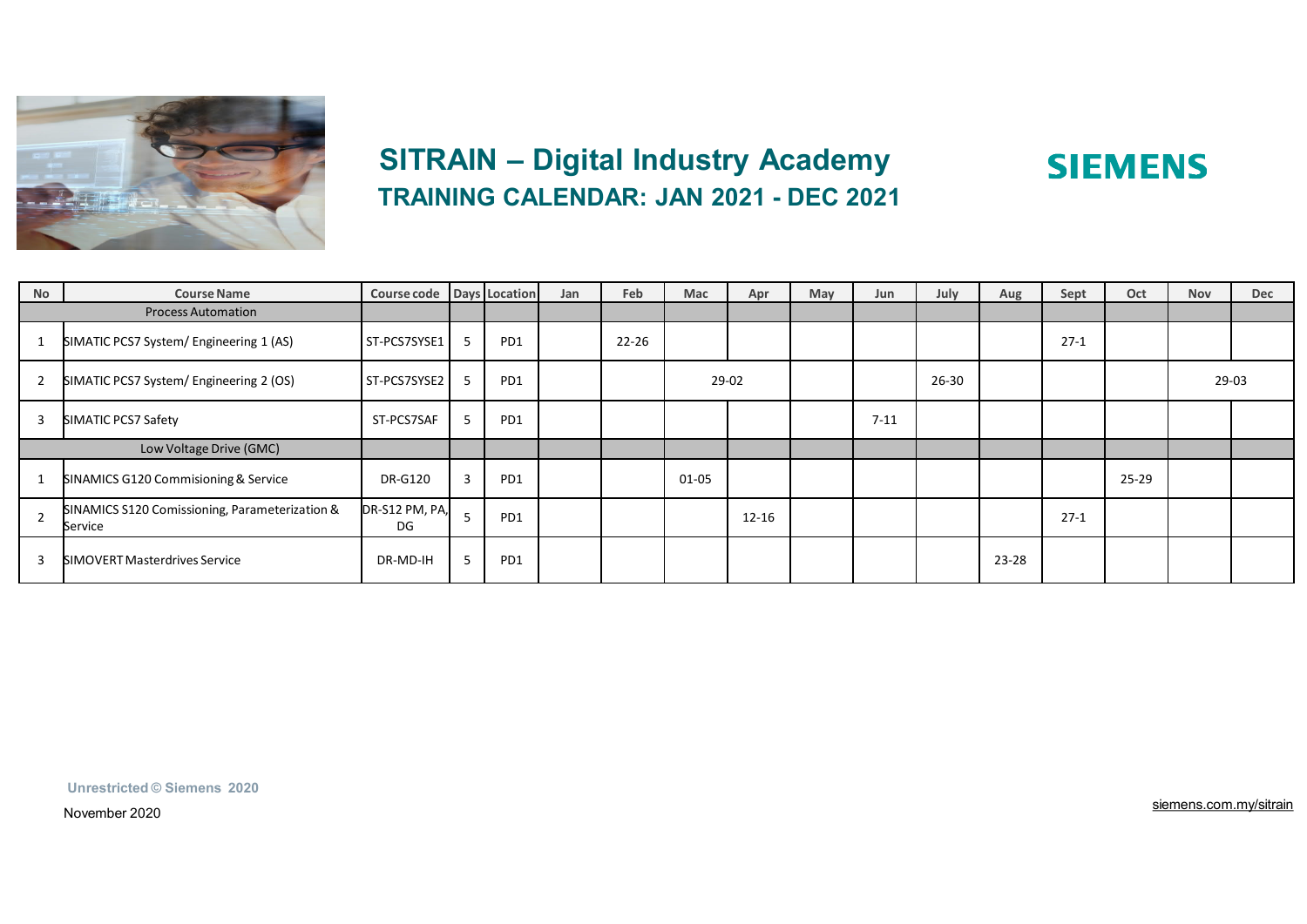

## **SITRAIN – Digital Industry Academy TRAINING CALENDAR: JAN 2021 - DEC 2021**

| <b>No</b>                 | <b>Course Name</b>                                        | Course code   Days   Location |                |     | Jan | Feb       | Mac   | Apr       | May | Jun      | July  | Aug   | Sept   | Oct       | <b>Nov</b> | <b>Dec</b> |
|---------------------------|-----------------------------------------------------------|-------------------------------|----------------|-----|-----|-----------|-------|-----------|-----|----------|-------|-------|--------|-----------|------------|------------|
| <b>Process Automation</b> |                                                           |                               |                |     |     |           |       |           |     |          |       |       |        |           |            |            |
|                           | SIMATIC PCS7 System/ Engineering 1 (AS)                   | ST-PCS7SYSE1                  | 5              | PD1 |     | $22 - 26$ |       |           |     |          |       |       | $27-1$ |           |            |            |
| $\overline{2}$            | SIMATIC PCS7 System/ Engineering 2 (OS)                   | ST-PCS7SYSE2                  | 5              | PD1 |     |           | 29-02 |           |     |          | 26-30 |       |        |           | 29-03      |            |
| 3                         | SIMATIC PCS7 Safety                                       | ST-PCS7SAF                    | 5              | PD1 |     |           |       |           |     | $7 - 11$ |       |       |        |           |            |            |
| Low Voltage Drive (GMC)   |                                                           |                               |                |     |     |           |       |           |     |          |       |       |        |           |            |            |
|                           | SINAMICS G120 Commisioning & Service                      | <b>DR-G120</b>                | $\overline{3}$ | PD1 |     |           | 01-05 |           |     |          |       |       |        | $25 - 29$ |            |            |
| $\overline{z}$            | SINAMICS S120 Comissioning, Parameterization &<br>Service | DR-S12 PM, PA,<br>DG          | 5              | PD1 |     |           |       | $12 - 16$ |     |          |       |       | $27-1$ |           |            |            |
| 3                         | SIMOVERT Masterdrives Service                             | DR-MD-IH                      | 5              | PD1 |     |           |       |           |     |          |       | 23-28 |        |           |            |            |

**Unrestricted © Siemens 2020**

November 2020

siemens.com.my/sitrain

**SIEMENS**